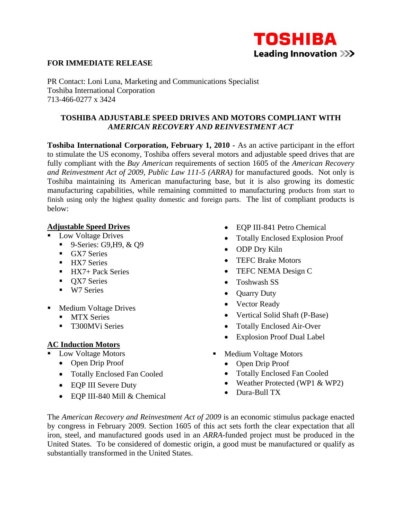

## **FOR IMMEDIATE RELEASE**

PR Contact: Loni Luna, Marketing and Communications Specialist Toshiba International Corporation 713-466-0277 x 3424

### **TOSHIBA ADJUSTABLE SPEED DRIVES AND MOTORS COMPLIANT WITH**  *AMERICAN RECOVERY AND REINVESTMENT ACT*

**Toshiba International Corporation, February 1, 2010 -** As an active participant in the effort to stimulate the US economy, Toshiba offers several motors and adjustable speed drives that are fully compliant with the *Buy American* requirements of section 1605 of the *American Recovery and Reinvestment Act of 2009, Public Law 111-5 (ARRA)* for manufactured goods. Not only is Toshiba maintaining its American manufacturing base, but it is also growing its domestic manufacturing capabilities, while remaining committed to manufacturing products from start to finish using only the highest quality domestic and foreign parts. The list of compliant products is below:

#### **Adjustable Speed Drives**

- **Low Voltage Drives** 
	- **9**-Series: G9, H9, & O9
	- GX7 Series
	- **HX7** Series
	- $-HX7+$  Pack Series
	- **OX7** Series
	- W7 Series
- Medium Voltage Drives
	- **MTX Series**
	- **T300MVi Series**

## **AC Induction Motors**

- **Low Voltage Motors** 
	- Open Drip Proof
	- Totally Enclosed Fan Cooled
	- EQP III Severe Duty
	- EQP III-840 Mill & Chemical
- EQP III-841 Petro Chemical
- Totally Enclosed Explosion Proof
- ODP Dry Kiln
- TEFC Brake Motors
- TEFC NEMA Design C
- Toshwash SS
- Quarry Duty
- Vector Ready
- Vertical Solid Shaft (P-Base)
- Totally Enclosed Air-Over
- Explosion Proof Dual Label
- **Medium Voltage Motors** 
	- Open Drip Proof
	- Totally Enclosed Fan Cooled
	- Weather Protected (WP1 & WP2)
	- Dura-Bull TX

The *American Recovery and Reinvestment Act of 2009* is an economic stimulus package enacted by congress in February 2009. Section 1605 of this act sets forth the clear expectation that all iron, steel, and manufactured goods used in an *ARRA*-funded project must be produced in the United States. To be considered of domestic origin, a good must be manufactured or qualify as substantially transformed in the United States.